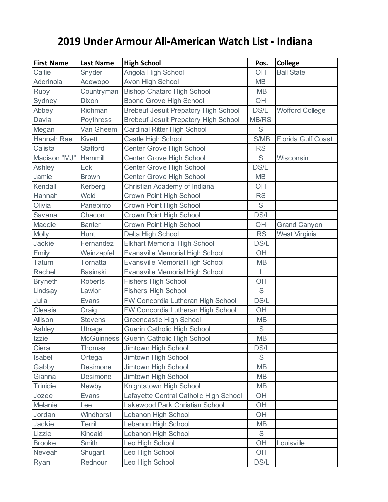## **2019 Under Armour All-American Watch List - Indiana**

| <b>First Name</b> | <b>Last Name</b>  | <b>High School</b>                          | Pos.         | College                |
|-------------------|-------------------|---------------------------------------------|--------------|------------------------|
| Caitie            | Snyder            | Angola High School                          | OH           | <b>Ball State</b>      |
| Aderinola         | Adewopo           | Avon High School                            | <b>MB</b>    |                        |
| Ruby              | Countryman        | <b>Bishop Chatard High School</b>           | <b>MB</b>    |                        |
| Sydney            | Dixon             | <b>Boone Grove High School</b>              | OH           |                        |
| Abbey             | Richman           | <b>Brebeuf Jesuit Prepatory High School</b> | DS/L         | <b>Wofford College</b> |
| Davia             | Poythress         | <b>Brebeuf Jesuit Prepatory High School</b> | <b>MB/RS</b> |                        |
| Megan             | Van Gheem         | <b>Cardinal Ritter High School</b>          | $\mathsf S$  |                        |
| <b>Hannah Rae</b> | <b>Kivett</b>     | Castle High School                          | S/MB         | Florida Gulf Coast     |
| Calista           | <b>Stafford</b>   | <b>Center Grove High School</b>             | <b>RS</b>    |                        |
| Madison "MJ"      | Hammill           | <b>Center Grove High School</b>             | $\mathsf S$  | Wisconsin              |
| Ashley            | Eck               | Center Grove High School                    | DS/L         |                        |
| Jamie             | <b>Brown</b>      | Center Grove High School                    | <b>MB</b>    |                        |
| Kendall           | Kerberg           | Christian Academy of Indiana                | OH           |                        |
| Hannah            | Wold              | <b>Crown Point High School</b>              | <b>RS</b>    |                        |
| Olivia            | Panepinto         | <b>Crown Point High School</b>              | $\mathsf S$  |                        |
| Savana            | Chacon            | Crown Point High School                     | DS/L         |                        |
| Maddie            | <b>Banter</b>     | Crown Point High School                     | OH           | <b>Grand Canyon</b>    |
| <b>Molly</b>      | Hunt              | Delta High School                           | <b>RS</b>    | West Virginia          |
| Jackie            | Fernandez         | <b>Elkhart Memorial High School</b>         | DS/L         |                        |
| Emily             | Weinzapfel        | <b>Evansville Memorial High School</b>      | OH           |                        |
| <b>Tatum</b>      | Tornatta          | <b>Evansville Memorial High School</b>      | <b>MB</b>    |                        |
| Rachel            | <b>Basinski</b>   | <b>Evansville Memorial High School</b>      | L            |                        |
| <b>Bryneth</b>    | <b>Roberts</b>    | <b>Fishers High School</b>                  | OH           |                        |
| Lindsay           | Lawlor            | <b>Fishers High School</b>                  | $\mathsf S$  |                        |
| Julia             | Evans             | FW Concordia Lutheran High School           | DS/L         |                        |
| Cleasia           | Craig             | FW Concordia Lutheran High School           | OH           |                        |
| Allison           | <b>Stevens</b>    | <b>Greencastle High School</b>              | <b>MB</b>    |                        |
| Ashley            | Utnage            | Guerin Catholic High School                 | $\mathsf S$  |                        |
| Izzie             | <b>McGuinness</b> | Guerin Catholic High School                 | <b>MB</b>    |                        |
| Ciera             | <b>Thomas</b>     | Jimtown High School                         | DS/L         |                        |
| Isabel            | Ortega            | Jimtown High School                         | S            |                        |
| Gabby             | Desimone          | Jimtown High School                         | <b>MB</b>    |                        |
| Gianna            | Desimone          | Jimtown High School                         | <b>MB</b>    |                        |
| <b>Trinidie</b>   | Newby             | Knightstown High School                     | <b>MB</b>    |                        |
| Jozee             | <b>Evans</b>      | Lafayette Central Catholic High School      | OH           |                        |
| Melanie           | Lee               | Lakewood Park Christian School              | OH           |                        |
| Jordan            | Windhorst         | Lebanon High School                         | OH           |                        |
| Jackie            | Terrill           | Lebanon High School                         | MВ           |                        |
| Lizzie            | Kincaid           | Lebanon High School                         | $\mathsf S$  |                        |
| <b>Brooke</b>     | Smith             | Leo High School                             | OH           | Louisville             |
| Neveah            | Shugart           | Leo High School                             | OH           |                        |
| Ryan              | Rednour           | Leo High School                             | DS/L         |                        |